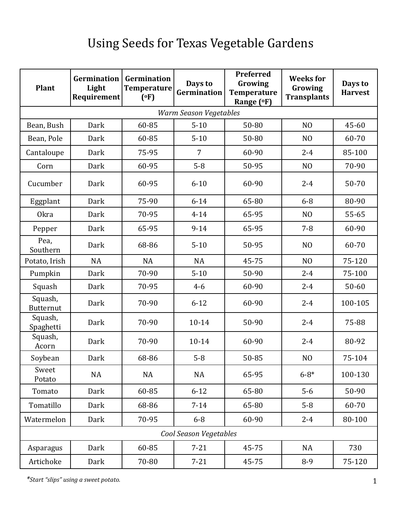## Using Seeds for Texas Vegetable Gardens

| <b>Plant</b>                | Germination<br>Light<br>Requirement | <b>Germination</b><br><b>Temperature</b><br>(°F) | Days to<br>Germination | Preferred<br>Growing<br><b>Temperature</b><br>Range (°F) | <b>Weeks</b> for<br>Growing<br><b>Transplants</b> | Days to<br><b>Harvest</b> |  |  |  |  |
|-----------------------------|-------------------------------------|--------------------------------------------------|------------------------|----------------------------------------------------------|---------------------------------------------------|---------------------------|--|--|--|--|
| Warm Season Vegetables      |                                     |                                                  |                        |                                                          |                                                   |                           |  |  |  |  |
| Bean, Bush                  | Dark                                | 60-85                                            | $5 - 10$               | 50-80                                                    | N <sub>O</sub>                                    | 45-60                     |  |  |  |  |
| Bean, Pole                  | Dark                                | 60-85                                            | $5 - 10$               | 50-80                                                    | N <sub>O</sub>                                    | 60-70                     |  |  |  |  |
| Cantaloupe                  | Dark                                | 75-95                                            | $\overline{7}$         | 60-90                                                    | $2 - 4$                                           | 85-100                    |  |  |  |  |
| Corn                        | Dark                                | 60-95                                            | $5-8$                  | 50-95                                                    | N <sub>O</sub>                                    | 70-90                     |  |  |  |  |
| Cucumber                    | Dark                                | 60-95                                            | $6 - 10$               | 60-90                                                    | $2 - 4$                                           | 50-70                     |  |  |  |  |
| Eggplant                    | Dark                                | 75-90                                            | $6 - 14$               | 65-80                                                    | $6 - 8$                                           | 80-90                     |  |  |  |  |
| <b>Okra</b>                 | Dark                                | 70-95                                            | $4 - 14$               | 65-95                                                    | N <sub>O</sub>                                    | 55-65                     |  |  |  |  |
| Pepper                      | Dark                                | 65-95                                            | $9 - 14$               | 65-95                                                    | $7 - 8$                                           | 60-90                     |  |  |  |  |
| Pea,<br>Southern            | Dark                                | 68-86                                            | $5 - 10$               | 50-95                                                    | N <sub>O</sub>                                    | 60-70                     |  |  |  |  |
| Potato, Irish               | <b>NA</b>                           | <b>NA</b>                                        | <b>NA</b>              | 45-75                                                    | N <sub>O</sub>                                    | 75-120                    |  |  |  |  |
| Pumpkin                     | Dark                                | 70-90                                            | $5 - 10$               | 50-90                                                    | $2 - 4$                                           | 75-100                    |  |  |  |  |
| Squash                      | Dark                                | 70-95                                            | $4 - 6$                | 60-90                                                    | $2 - 4$                                           | $50 - 60$                 |  |  |  |  |
| Squash,<br><b>Butternut</b> | Dark                                | 70-90                                            | $6 - 12$               | 60-90                                                    | $2 - 4$                                           | 100-105                   |  |  |  |  |
| Squash,<br>Spaghetti        | Dark                                | 70-90                                            | $10 - 14$              | 50-90                                                    | $2 - 4$                                           | 75-88                     |  |  |  |  |
| Squash,<br>Acorn            | Dark                                | 70-90                                            | $10 - 14$              | 60-90                                                    | $2 - 4$                                           | 80-92                     |  |  |  |  |
| Soybean                     | Dark                                | 68-86                                            | $5 - 8$                | 50-85                                                    | N <sub>O</sub>                                    | 75-104                    |  |  |  |  |
| Sweet<br>Potato             | <b>NA</b>                           | <b>NA</b>                                        | <b>NA</b>              | 65-95                                                    | $6 - 8*$                                          | 100-130                   |  |  |  |  |
| Tomato                      | Dark                                | 60-85                                            | $6 - 12$               | 65-80                                                    | $5-6$                                             | 50-90                     |  |  |  |  |
| Tomatillo                   | Dark                                | 68-86                                            | $7 - 14$               | 65-80                                                    | $5 - 8$                                           | 60-70                     |  |  |  |  |
| Watermelon                  | Dark                                | 70-95                                            | $6 - 8$                | 60-90                                                    | $2 - 4$                                           | 80-100                    |  |  |  |  |
| Cool Season Vegetables      |                                     |                                                  |                        |                                                          |                                                   |                           |  |  |  |  |
| Asparagus                   | Dark                                | 60-85                                            | $7 - 21$               | 45-75                                                    | NA                                                | 730                       |  |  |  |  |
| Artichoke                   | Dark                                | 70-80                                            | $7 - 21$               | 45-75                                                    | $8 - 9$                                           | 75-120                    |  |  |  |  |

*\*Start "slips" using a sweet potato.*